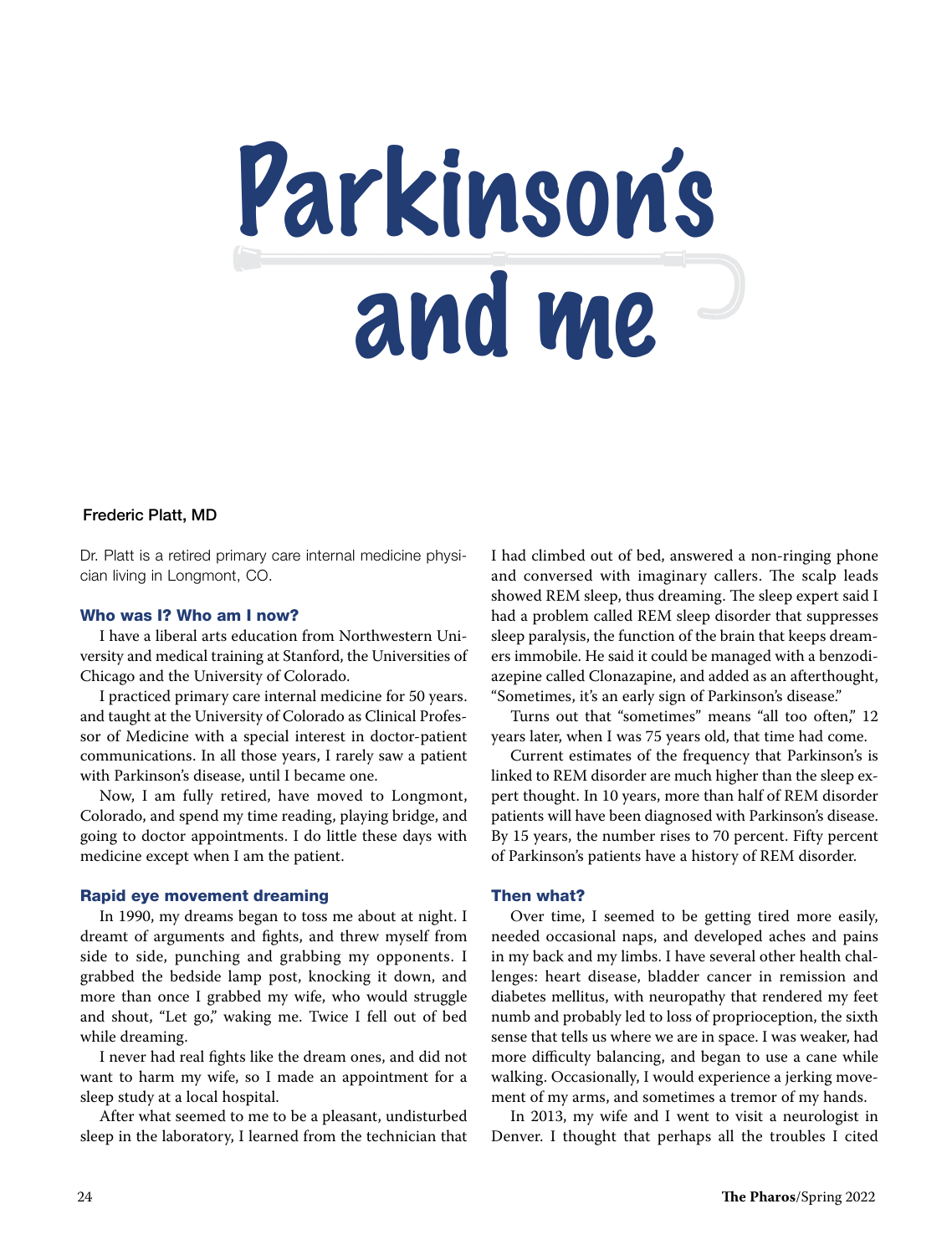

# Frederic Platt, MD

Dr. Platt is a retired primary care internal medicine physician living in Longmont, CO.

#### Who was I? Who am I now?

I have a liberal arts education from Northwestern University and medical training at Stanford, the Universities of Chicago and the University of Colorado.

I practiced primary care internal medicine for 50 years. and taught at the University of Colorado as Clinical Professor of Medicine with a special interest in doctor-patient communications. In all those years, I rarely saw a patient with Parkinson's disease, until I became one.

Now, I am fully retired, have moved to Longmont, Colorado, and spend my time reading, playing bridge, and going to doctor appointments. I do little these days with medicine except when I am the patient.

### Rapid eye movement dreaming

In 1990, my dreams began to toss me about at night. I dreamt of arguments and fights, and threw myself from side to side, punching and grabbing my opponents. I grabbed the bedside lamp post, knocking it down, and more than once I grabbed my wife, who would struggle and shout, "Let go," waking me. Twice I fell out of bed while dreaming.

I never had real fights like the dream ones, and did not want to harm my wife, so I made an appointment for a sleep study at a local hospital.

After what seemed to me to be a pleasant, undisturbed sleep in the laboratory, I learned from the technician that I had climbed out of bed, answered a non-ringing phone and conversed with imaginary callers. The scalp leads showed REM sleep, thus dreaming. The sleep expert said I had a problem called REM sleep disorder that suppresses sleep paralysis, the function of the brain that keeps dreamers immobile. He said it could be managed with a benzodiazepine called Clonazapine, and added as an afterthought, "Sometimes, it's an early sign of Parkinson's disease."

Turns out that "sometimes" means "all too often," 12 years later, when I was 75 years old, that time had come.

Current estimates of the frequency that Parkinson's is linked to REM disorder are much higher than the sleep expert thought. In 10 years, more than half of REM disorder patients will have been diagnosed with Parkinson's disease. By 15 years, the number rises to 70 percent. Fifty percent of Parkinson's patients have a history of REM disorder.

# Then what?

Over time, I seemed to be getting tired more easily, needed occasional naps, and developed aches and pains in my back and my limbs. I have several other health challenges: heart disease, bladder cancer in remission and diabetes mellitus, with neuropathy that rendered my feet numb and probably led to loss of proprioception, the sixth sense that tells us where we are in space. I was weaker, had more difficulty balancing, and began to use a cane while walking. Occasionally, I would experience a jerking movement of my arms, and sometimes a tremor of my hands.

In 2013, my wife and I went to visit a neurologist in Denver. I thought that perhaps all the troubles I cited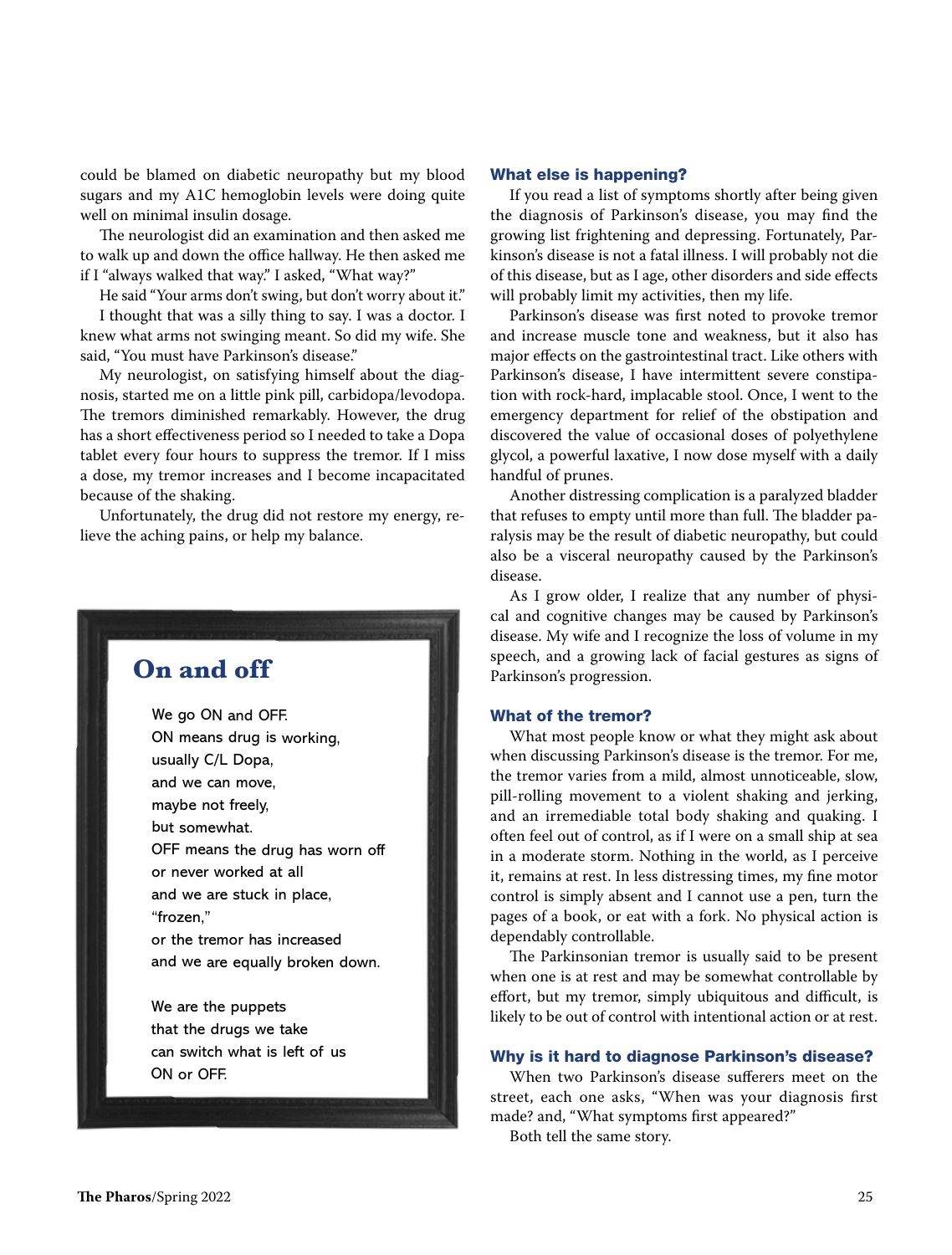could be blamed on diabetic neuropathy but my blood sugars and my A1C hemoglobin levels were doing quite well on minimal insulin dosage.

The neurologist did an examination and then asked me to walk up and down the office hallway. He then asked me if I "always walked that way." I asked, "What way?"

He said "Your arms don't swing, but don't worry about it."

I thought that was a silly thing to say. I was a doctor. I knew what arms not swinging meant. So did my wife. She said, "You must have Parkinson's disease."

My neurologist, on satisfying himself about the diagnosis, started me on a little pink pill, carbidopa/levodopa. The tremors diminished remarkably. However, the drug has a short effectiveness period so I needed to take a Dopa tablet every four hours to suppress the tremor. If I miss a dose, my tremor increases and I become incapacitated because of the shaking.

Unfortunately, the drug did not restore my energy, relieve the aching pains, or help my balance.



#### What else is happening?

If you read a list of symptoms shortly after being given the diagnosis of Parkinson's disease, you may find the growing list frightening and depressing. Fortunately, Parkinson's disease is not a fatal illness. I will probably not die of this disease, but as I age, other disorders and side effects will probably limit my activities, then my life.

Parkinson's disease was first noted to provoke tremor and increase muscle tone and weakness, but it also has major effects on the gastrointestinal tract. Like others with Parkinson's disease, I have intermittent severe constipation with rock-hard, implacable stool. Once, I went to the emergency department for relief of the obstipation and discovered the value of occasional doses of polyethylene glycol, a powerful laxative, I now dose myself with a daily handful of prunes.

Another distressing complication is a paralyzed bladder that refuses to empty until more than full. The bladder paralysis may be the result of diabetic neuropathy, but could also be a visceral neuropathy caused by the Parkinson's disease.

As I grow older, I realize that any number of physical and cognitive changes may be caused by Parkinson's disease. My wife and I recognize the loss of volume in my speech, and a growing lack of facial gestures as signs of Parkinson's progression.

#### What of the tremor?

What most people know or what they might ask about when discussing Parkinson's disease is the tremor. For me, the tremor varies from a mild, almost unnoticeable, slow, pill-rolling movement to a violent shaking and jerking, and an irremediable total body shaking and quaking. I often feel out of control, as if I were on a small ship at sea in a moderate storm. Nothing in the world, as I perceive it, remains at rest. In less distressing times, my fine motor control is simply absent and I cannot use a pen, turn the pages of a book, or eat with a fork. No physical action is dependably controllable.

The Parkinsonian tremor is usually said to be present when one is at rest and may be somewhat controllable by effort, but my tremor, simply ubiquitous and difficult, is likely to be out of control with intentional action or at rest.

### Why is it hard to diagnose Parkinson's disease?

When two Parkinson's disease sufferers meet on the street, each one asks, "When was your diagnosis first made? and, "What symptoms first appeared?"

Both tell the same story.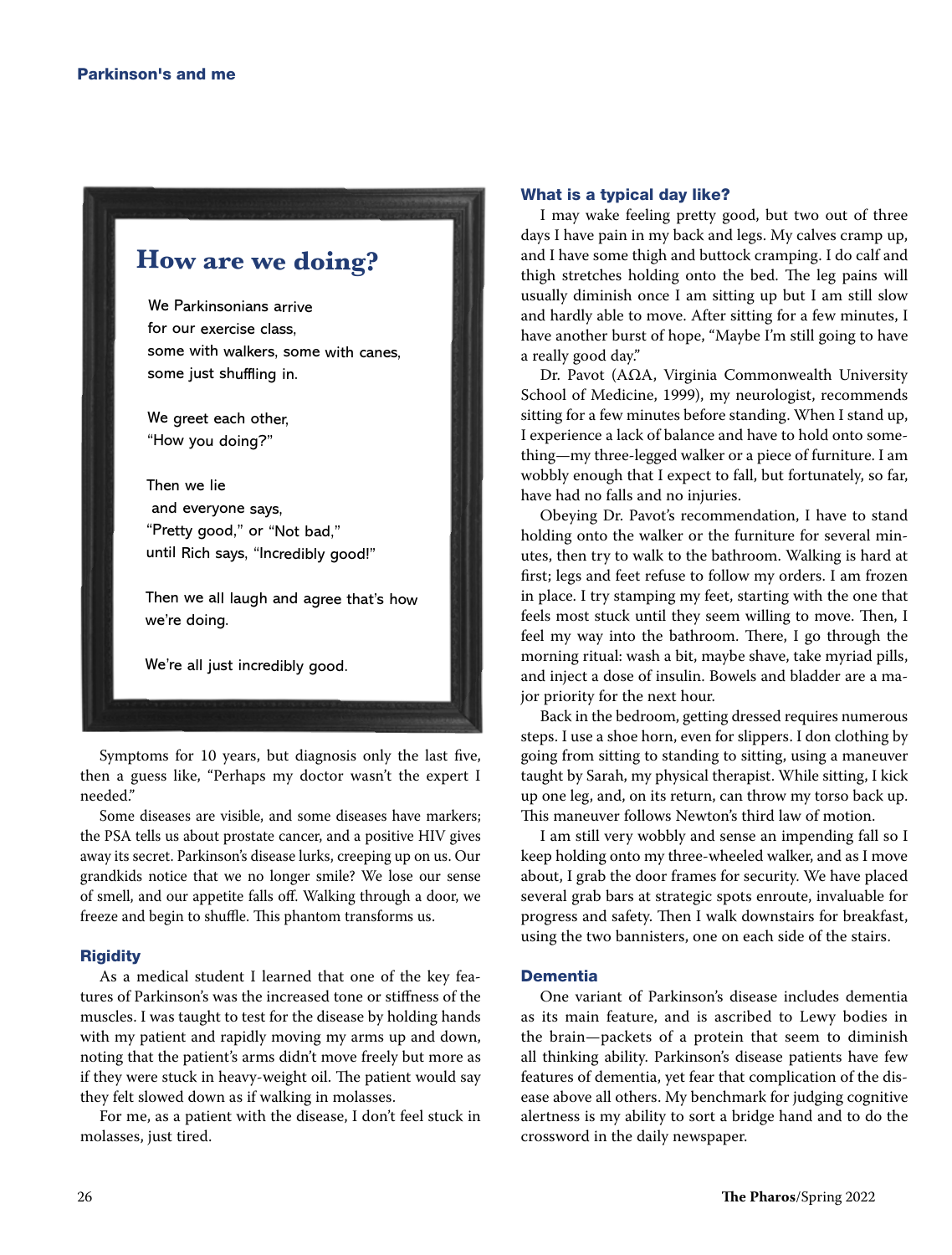# **How are we doing?**

We Parkinsonians arrive for our exercise class, some with walkers, some with canes, some just shuffling in.

We greet each other, "How you doing?"

Then we lie and everyone says, "Pretty good," or "Not bad," until Rich says, "Incredibly good!"

Then we all laugh and agree that's how we're doing.

We're all just incredibly good.

Symptoms for 10 years, but diagnosis only the last five, then a guess like, "Perhaps my doctor wasn't the expert I needed."

Some diseases are visible, and some diseases have markers; the PSA tells us about prostate cancer, and a positive HIV gives away its secret. Parkinson's disease lurks, creeping up on us. Our grandkids notice that we no longer smile? We lose our sense of smell, and our appetite falls off. Walking through a door, we freeze and begin to shuffle. This phantom transforms us.

#### **Rigidity**

As a medical student I learned that one of the key features of Parkinson's was the increased tone or stiffness of the muscles. I was taught to test for the disease by holding hands with my patient and rapidly moving my arms up and down, noting that the patient's arms didn't move freely but more as if they were stuck in heavy-weight oil. The patient would say they felt slowed down as if walking in molasses.

For me, as a patient with the disease, I don't feel stuck in molasses, just tired.

### What is a typical day like?

I may wake feeling pretty good, but two out of three days I have pain in my back and legs. My calves cramp up, and I have some thigh and buttock cramping. I do calf and thigh stretches holding onto the bed. The leg pains will usually diminish once I am sitting up but I am still slow and hardly able to move. After sitting for a few minutes, I have another burst of hope, "Maybe I'm still going to have a really good day."

Dr. Pavot (AΩA, Virginia Commonwealth University School of Medicine, 1999), my neurologist, recommends sitting for a few minutes before standing. When I stand up, I experience a lack of balance and have to hold onto something—my three-legged walker or a piece of furniture. I am wobbly enough that I expect to fall, but fortunately, so far, have had no falls and no injuries.

Obeying Dr. Pavot's recommendation, I have to stand holding onto the walker or the furniture for several minutes, then try to walk to the bathroom. Walking is hard at first; legs and feet refuse to follow my orders. I am frozen in place. I try stamping my feet, starting with the one that feels most stuck until they seem willing to move. Then, I feel my way into the bathroom. There, I go through the morning ritual: wash a bit, maybe shave, take myriad pills, and inject a dose of insulin. Bowels and bladder are a major priority for the next hour.

Back in the bedroom, getting dressed requires numerous steps. I use a shoe horn, even for slippers. I don clothing by going from sitting to standing to sitting, using a maneuver taught by Sarah, my physical therapist. While sitting, I kick up one leg, and, on its return, can throw my torso back up. This maneuver follows Newton's third law of motion.

I am still very wobbly and sense an impending fall so I keep holding onto my three-wheeled walker, and as I move about, I grab the door frames for security. We have placed several grab bars at strategic spots enroute, invaluable for progress and safety. Then I walk downstairs for breakfast, using the two bannisters, one on each side of the stairs.

## **Dementia**

One variant of Parkinson's disease includes dementia as its main feature, and is ascribed to Lewy bodies in the brain—packets of a protein that seem to diminish all thinking ability. Parkinson's disease patients have few features of dementia, yet fear that complication of the disease above all others. My benchmark for judging cognitive alertness is my ability to sort a bridge hand and to do the crossword in the daily newspaper.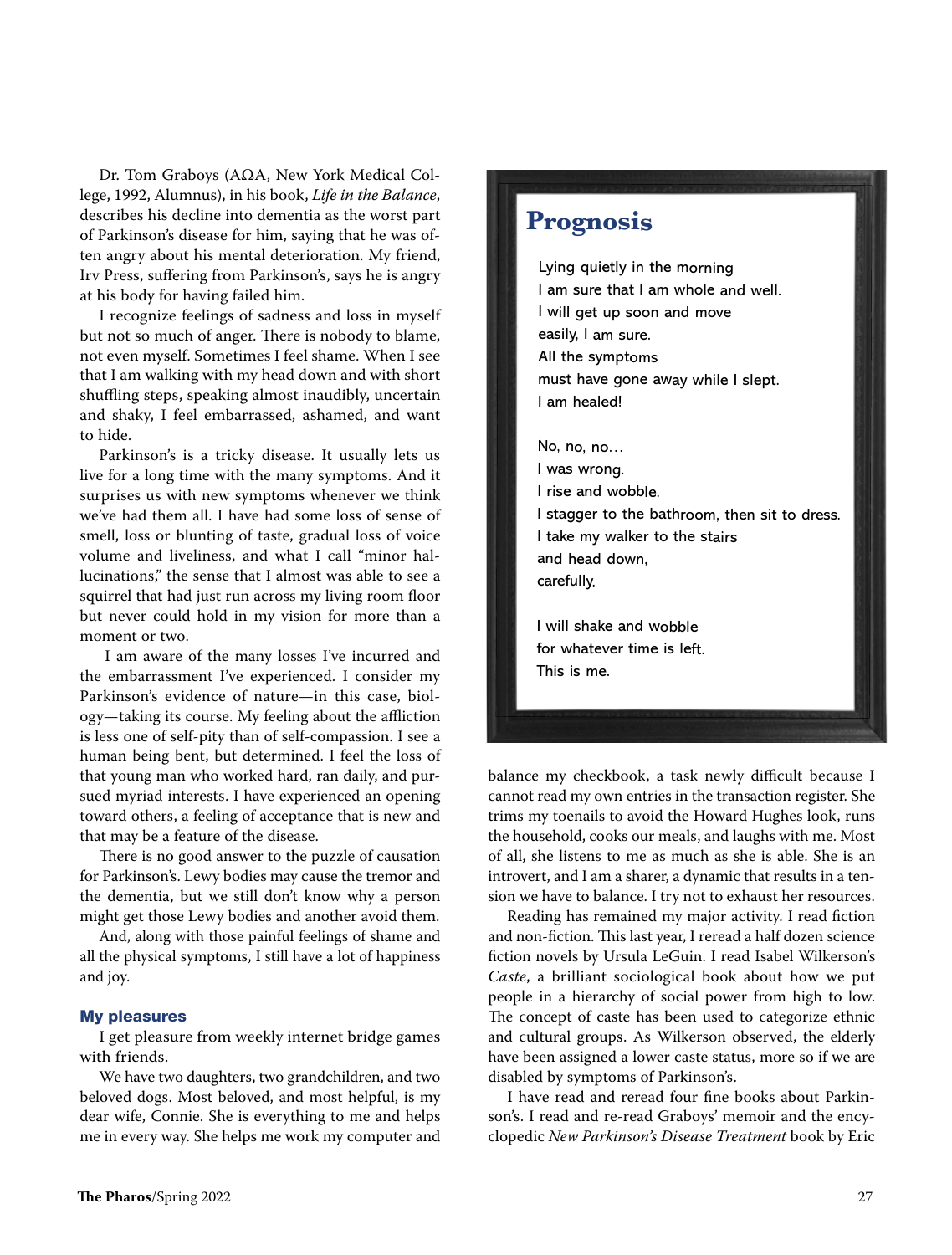Dr. Tom Graboys (AΩA, New York Medical College, 1992, Alumnus), in his book, Life in the Balance, describes his decline into dementia as the worst part of Parkinson's disease for him, saying that he was often angry about his mental deterioration. My friend, Irv Press, suffering from Parkinson's, says he is angry at his body for having failed him.

I recognize feelings of sadness and loss in myself but not so much of anger. There is nobody to blame, not even myself. Sometimes I feel shame. When I see that I am walking with my head down and with short shuffling steps, speaking almost inaudibly, uncertain and shaky, I feel embarrassed, ashamed, and want to hide.

Parkinson's is a tricky disease. It usually lets us live for a long time with the many symptoms. And it surprises us with new symptoms whenever we think we've had them all. I have had some loss of sense of smell, loss or blunting of taste, gradual loss of voice volume and liveliness, and what I call "minor hallucinations," the sense that I almost was able to see a squirrel that had just run across my living room floor but never could hold in my vision for more than a moment or two.

 I am aware of the many losses I've incurred and the embarrassment I've experienced. I consider my Parkinson's evidence of nature—in this case, biology—taking its course. My feeling about the affliction is less one of self-pity than of self-compassion. I see a human being bent, but determined. I feel the loss of that young man who worked hard, ran daily, and pursued myriad interests. I have experienced an opening toward others, a feeling of acceptance that is new and that may be a feature of the disease.

There is no good answer to the puzzle of causation for Parkinson's. Lewy bodies may cause the tremor and the dementia, but we still don't know why a person might get those Lewy bodies and another avoid them.

And, along with those painful feelings of shame and all the physical symptoms, I still have a lot of happiness and joy.

#### My pleasures

I get pleasure from weekly internet bridge games with friends.

We have two daughters, two grandchildren, and two beloved dogs. Most beloved, and most helpful, is my dear wife, Connie. She is everything to me and helps me in every way. She helps me work my computer and

# **Prognosis**

Lying quietly in the morning I am sure that I am whole and well. I will get up soon and move easily, I am sure. All the symptoms must have gone away while I slept. I am healed!

No, no, no… I was wrong. I rise and wobble. I stagger to the bathroom, then sit to dress. I take my walker to the stairs and head down, carefully.

I will shake and wobble for whatever time is left. This is me.

balance my checkbook, a task newly difficult because I cannot read my own entries in the transaction register. She trims my toenails to avoid the Howard Hughes look, runs the household, cooks our meals, and laughs with me. Most of all, she listens to me as much as she is able. She is an introvert, and I am a sharer, a dynamic that results in a tension we have to balance. I try not to exhaust her resources.

Reading has remained my major activity. I read fiction and non-fiction. This last year, I reread a half dozen science fiction novels by Ursula LeGuin. I read Isabel Wilkerson's Caste, a brilliant sociological book about how we put people in a hierarchy of social power from high to low. The concept of caste has been used to categorize ethnic and cultural groups. As Wilkerson observed, the elderly have been assigned a lower caste status, more so if we are disabled by symptoms of Parkinson's.

I have read and reread four fine books about Parkinson's. I read and re-read Graboys' memoir and the encyclopedic New Parkinson's Disease Treatment book by Eric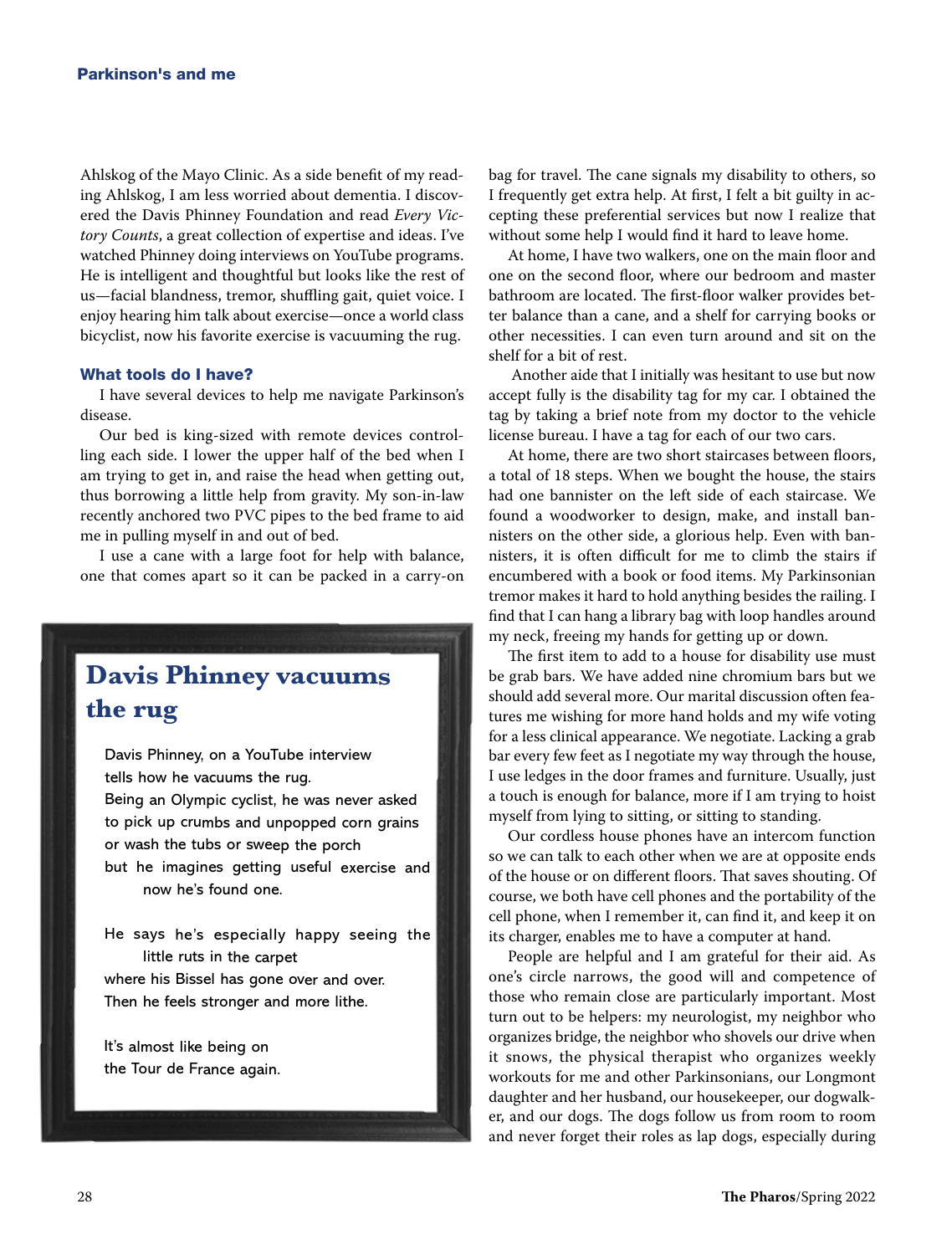Ahlskog of the Mayo Clinic. As a side benefit of my reading Ahlskog, I am less worried about dementia. I discovered the Davis Phinney Foundation and read Every Victory Counts, a great collection of expertise and ideas. I've watched Phinney doing interviews on YouTube programs. He is intelligent and thoughtful but looks like the rest of us—facial blandness, tremor, shuffling gait, quiet voice. I enjoy hearing him talk about exercise—once a world class bicyclist, now his favorite exercise is vacuuming the rug.

#### What tools do I have?

I have several devices to help me navigate Parkinson's disease.

Our bed is king-sized with remote devices controlling each side. I lower the upper half of the bed when I am trying to get in, and raise the head when getting out, thus borrowing a little help from gravity. My son-in-law recently anchored two PVC pipes to the bed frame to aid me in pulling myself in and out of bed.

I use a cane with a large foot for help with balance, one that comes apart so it can be packed in a carry-on

# **Davis Phinney vacuums the rug**

Davis Phinney, on a YouTube interview tells how he vacuums the rug. Being an Olympic cyclist, he was never asked to pick up crumbs and unpopped corn grains or wash the tubs or sweep the porch but he imagines getting useful exercise and now he's found one.

He says he's especially happy seeing the little ruts in the carpet where his Bissel has gone over and over. Then he feels stronger and more lithe.

It's almost like being on the Tour de France again. bag for travel. The cane signals my disability to others, so I frequently get extra help. At first, I felt a bit guilty in accepting these preferential services but now I realize that without some help I would find it hard to leave home.

At home, I have two walkers, one on the main floor and one on the second floor, where our bedroom and master bathroom are located. The first-floor walker provides better balance than a cane, and a shelf for carrying books or other necessities. I can even turn around and sit on the shelf for a bit of rest.

 Another aide that I initially was hesitant to use but now accept fully is the disability tag for my car. I obtained the tag by taking a brief note from my doctor to the vehicle license bureau. I have a tag for each of our two cars.

At home, there are two short staircases between floors, a total of 18 steps. When we bought the house, the stairs had one bannister on the left side of each staircase. We found a woodworker to design, make, and install bannisters on the other side, a glorious help. Even with bannisters, it is often difficult for me to climb the stairs if encumbered with a book or food items. My Parkinsonian tremor makes it hard to hold anything besides the railing. I find that I can hang a library bag with loop handles around my neck, freeing my hands for getting up or down.

The first item to add to a house for disability use must be grab bars. We have added nine chromium bars but we should add several more. Our marital discussion often features me wishing for more hand holds and my wife voting for a less clinical appearance. We negotiate. Lacking a grab bar every few feet as I negotiate my way through the house, I use ledges in the door frames and furniture. Usually, just a touch is enough for balance, more if I am trying to hoist myself from lying to sitting, or sitting to standing.

Our cordless house phones have an intercom function so we can talk to each other when we are at opposite ends of the house or on different floors. That saves shouting. Of course, we both have cell phones and the portability of the cell phone, when I remember it, can find it, and keep it on its charger, enables me to have a computer at hand.

People are helpful and I am grateful for their aid. As one's circle narrows, the good will and competence of those who remain close are particularly important. Most turn out to be helpers: my neurologist, my neighbor who organizes bridge, the neighbor who shovels our drive when it snows, the physical therapist who organizes weekly workouts for me and other Parkinsonians, our Longmont daughter and her husband, our housekeeper, our dogwalker, and our dogs. The dogs follow us from room to room and never forget their roles as lap dogs, especially during